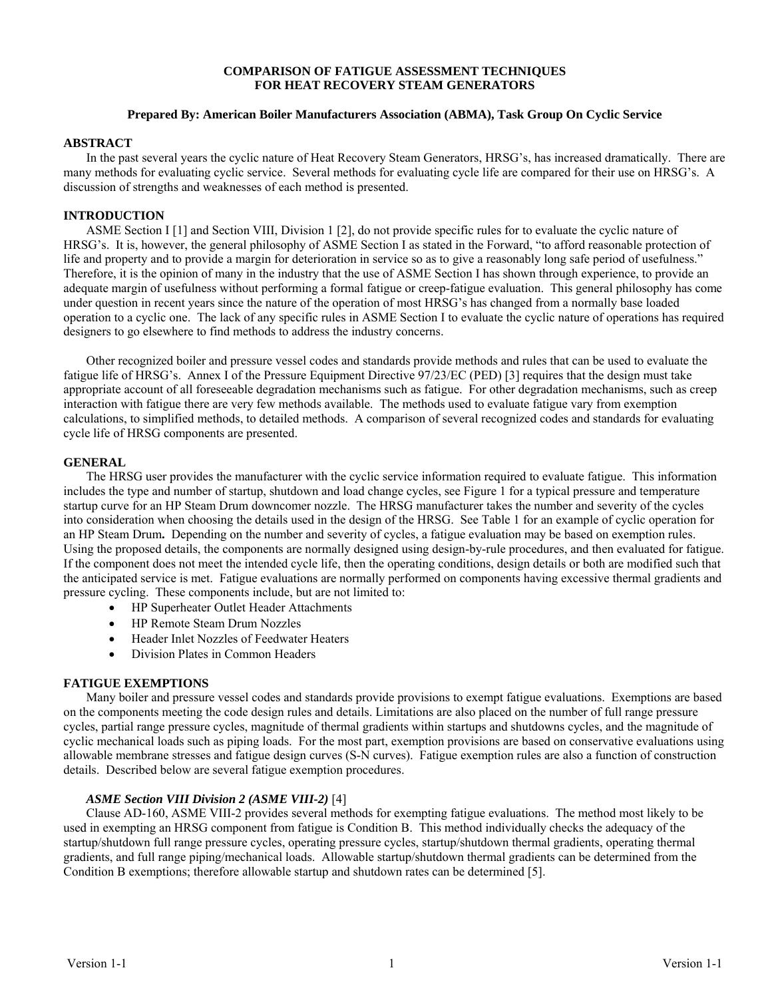### **COMPARISON OF FATIGUE ASSESSMENT TECHNIQUES FOR HEAT RECOVERY STEAM GENERATORS**

## **Prepared By: American Boiler Manufacturers Association (ABMA), Task Group On Cyclic Service**

### **ABSTRACT**

In the past several years the cyclic nature of Heat Recovery Steam Generators, HRSG's, has increased dramatically. There are many methods for evaluating cyclic service. Several methods for evaluating cycle life are compared for their use on HRSG's. A discussion of strengths and weaknesses of each method is presented.

## **INTRODUCTION**

ASME Section I [1] and Section VIII, Division 1 [2], do not provide specific rules for to evaluate the cyclic nature of HRSG's. It is, however, the general philosophy of ASME Section I as stated in the Forward, "to afford reasonable protection of life and property and to provide a margin for deterioration in service so as to give a reasonably long safe period of usefulness." Therefore, it is the opinion of many in the industry that the use of ASME Section I has shown through experience, to provide an adequate margin of usefulness without performing a formal fatigue or creep-fatigue evaluation. This general philosophy has come under question in recent years since the nature of the operation of most HRSG's has changed from a normally base loaded operation to a cyclic one. The lack of any specific rules in ASME Section I to evaluate the cyclic nature of operations has required designers to go elsewhere to find methods to address the industry concerns.

Other recognized boiler and pressure vessel codes and standards provide methods and rules that can be used to evaluate the fatigue life of HRSG's. Annex I of the Pressure Equipment Directive 97/23/EC (PED) [3] requires that the design must take appropriate account of all foreseeable degradation mechanisms such as fatigue. For other degradation mechanisms, such as creep interaction with fatigue there are very few methods available. The methods used to evaluate fatigue vary from exemption calculations, to simplified methods, to detailed methods. A comparison of several recognized codes and standards for evaluating cycle life of HRSG components are presented.

### **GENERAL**

The HRSG user provides the manufacturer with the cyclic service information required to evaluate fatigue. This information includes the type and number of startup, shutdown and load change cycles, see Figure 1 for a typical pressure and temperature startup curve for an HP Steam Drum downcomer nozzle. The HRSG manufacturer takes the number and severity of the cycles into consideration when choosing the details used in the design of the HRSG. See Table 1 for an example of cyclic operation for an HP Steam Drum**.** Depending on the number and severity of cycles, a fatigue evaluation may be based on exemption rules. Using the proposed details, the components are normally designed using design-by-rule procedures, and then evaluated for fatigue. If the component does not meet the intended cycle life, then the operating conditions, design details or both are modified such that the anticipated service is met. Fatigue evaluations are normally performed on components having excessive thermal gradients and pressure cycling. These components include, but are not limited to:

- HP Superheater Outlet Header Attachments
- HP Remote Steam Drum Nozzles
- Header Inlet Nozzles of Feedwater Heaters
- Division Plates in Common Headers

# **FATIGUE EXEMPTIONS**

Many boiler and pressure vessel codes and standards provide provisions to exempt fatigue evaluations. Exemptions are based on the components meeting the code design rules and details. Limitations are also placed on the number of full range pressure cycles, partial range pressure cycles, magnitude of thermal gradients within startups and shutdowns cycles, and the magnitude of cyclic mechanical loads such as piping loads. For the most part, exemption provisions are based on conservative evaluations using allowable membrane stresses and fatigue design curves (S-N curves). Fatigue exemption rules are also a function of construction details. Described below are several fatigue exemption procedures.

# *ASME Section VIII Division 2 (ASME VIII-2)* [4]

Clause AD-160, ASME VIII-2 provides several methods for exempting fatigue evaluations. The method most likely to be used in exempting an HRSG component from fatigue is Condition B. This method individually checks the adequacy of the startup/shutdown full range pressure cycles, operating pressure cycles, startup/shutdown thermal gradients, operating thermal gradients, and full range piping/mechanical loads. Allowable startup/shutdown thermal gradients can be determined from the Condition B exemptions; therefore allowable startup and shutdown rates can be determined [5].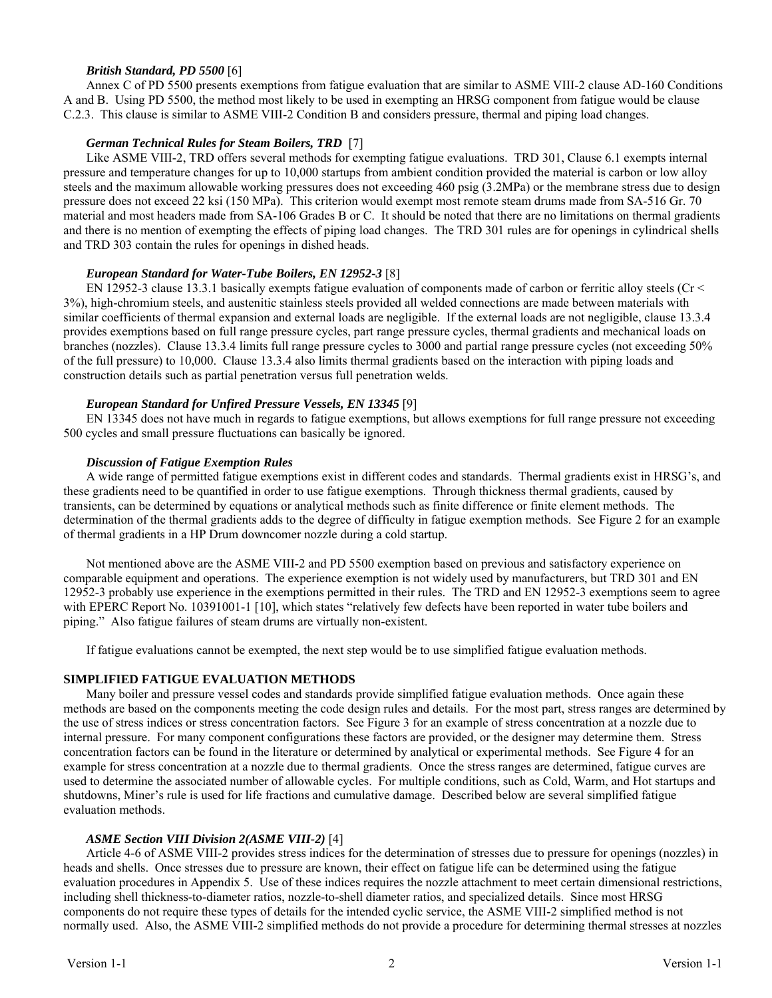# *British Standard, PD 5500* [6]

Annex C of PD 5500 presents exemptions from fatigue evaluation that are similar to ASME VIII-2 clause AD-160 Conditions A and B. Using PD 5500, the method most likely to be used in exempting an HRSG component from fatigue would be clause C.2.3. This clause is similar to ASME VIII-2 Condition B and considers pressure, thermal and piping load changes.

# *German Technical Rules for Steam Boilers, TRD* [7]

Like ASME VIII-2, TRD offers several methods for exempting fatigue evaluations. TRD 301, Clause 6.1 exempts internal pressure and temperature changes for up to 10,000 startups from ambient condition provided the material is carbon or low alloy steels and the maximum allowable working pressures does not exceeding 460 psig (3.2MPa) or the membrane stress due to design pressure does not exceed 22 ksi (150 MPa). This criterion would exempt most remote steam drums made from SA-516 Gr. 70 material and most headers made from SA-106 Grades B or C. It should be noted that there are no limitations on thermal gradients and there is no mention of exempting the effects of piping load changes. The TRD 301 rules are for openings in cylindrical shells and TRD 303 contain the rules for openings in dished heads.

# *European Standard for Water-Tube Boilers, EN 12952-3* [8]

EN 12952-3 clause 13.3.1 basically exempts fatigue evaluation of components made of carbon or ferritic alloy steels (Cr  $\leq$ 3%), high-chromium steels, and austenitic stainless steels provided all welded connections are made between materials with similar coefficients of thermal expansion and external loads are negligible. If the external loads are not negligible, clause 13.3.4 provides exemptions based on full range pressure cycles, part range pressure cycles, thermal gradients and mechanical loads on branches (nozzles). Clause 13.3.4 limits full range pressure cycles to 3000 and partial range pressure cycles (not exceeding 50% of the full pressure) to 10,000. Clause 13.3.4 also limits thermal gradients based on the interaction with piping loads and construction details such as partial penetration versus full penetration welds.

### *European Standard for Unfired Pressure Vessels, EN 13345* [9]

EN 13345 does not have much in regards to fatigue exemptions, but allows exemptions for full range pressure not exceeding 500 cycles and small pressure fluctuations can basically be ignored.

### *Discussion of Fatigue Exemption Rules*

A wide range of permitted fatigue exemptions exist in different codes and standards. Thermal gradients exist in HRSG's, and these gradients need to be quantified in order to use fatigue exemptions. Through thickness thermal gradients, caused by transients, can be determined by equations or analytical methods such as finite difference or finite element methods. The determination of the thermal gradients adds to the degree of difficulty in fatigue exemption methods. See Figure 2 for an example of thermal gradients in a HP Drum downcomer nozzle during a cold startup.

Not mentioned above are the ASME VIII-2 and PD 5500 exemption based on previous and satisfactory experience on comparable equipment and operations. The experience exemption is not widely used by manufacturers, but TRD 301 and EN 12952-3 probably use experience in the exemptions permitted in their rules. The TRD and EN 12952-3 exemptions seem to agree with EPERC Report No. 10391001-1 [10], which states "relatively few defects have been reported in water tube boilers and piping." Also fatigue failures of steam drums are virtually non-existent.

If fatigue evaluations cannot be exempted, the next step would be to use simplified fatigue evaluation methods.

### **SIMPLIFIED FATIGUE EVALUATION METHODS**

Many boiler and pressure vessel codes and standards provide simplified fatigue evaluation methods. Once again these methods are based on the components meeting the code design rules and details. For the most part, stress ranges are determined by the use of stress indices or stress concentration factors. See Figure 3 for an example of stress concentration at a nozzle due to internal pressure. For many component configurations these factors are provided, or the designer may determine them. Stress concentration factors can be found in the literature or determined by analytical or experimental methods. See Figure 4 for an example for stress concentration at a nozzle due to thermal gradients. Once the stress ranges are determined, fatigue curves are used to determine the associated number of allowable cycles. For multiple conditions, such as Cold, Warm, and Hot startups and shutdowns, Miner's rule is used for life fractions and cumulative damage. Described below are several simplified fatigue evaluation methods.

# *ASME Section VIII Division 2(ASME VIII-2)* [4]

Article 4-6 of ASME VIII-2 provides stress indices for the determination of stresses due to pressure for openings (nozzles) in heads and shells. Once stresses due to pressure are known, their effect on fatigue life can be determined using the fatigue evaluation procedures in Appendix 5. Use of these indices requires the nozzle attachment to meet certain dimensional restrictions, including shell thickness-to-diameter ratios, nozzle-to-shell diameter ratios, and specialized details. Since most HRSG components do not require these types of details for the intended cyclic service, the ASME VIII-2 simplified method is not normally used. Also, the ASME VIII-2 simplified methods do not provide a procedure for determining thermal stresses at nozzles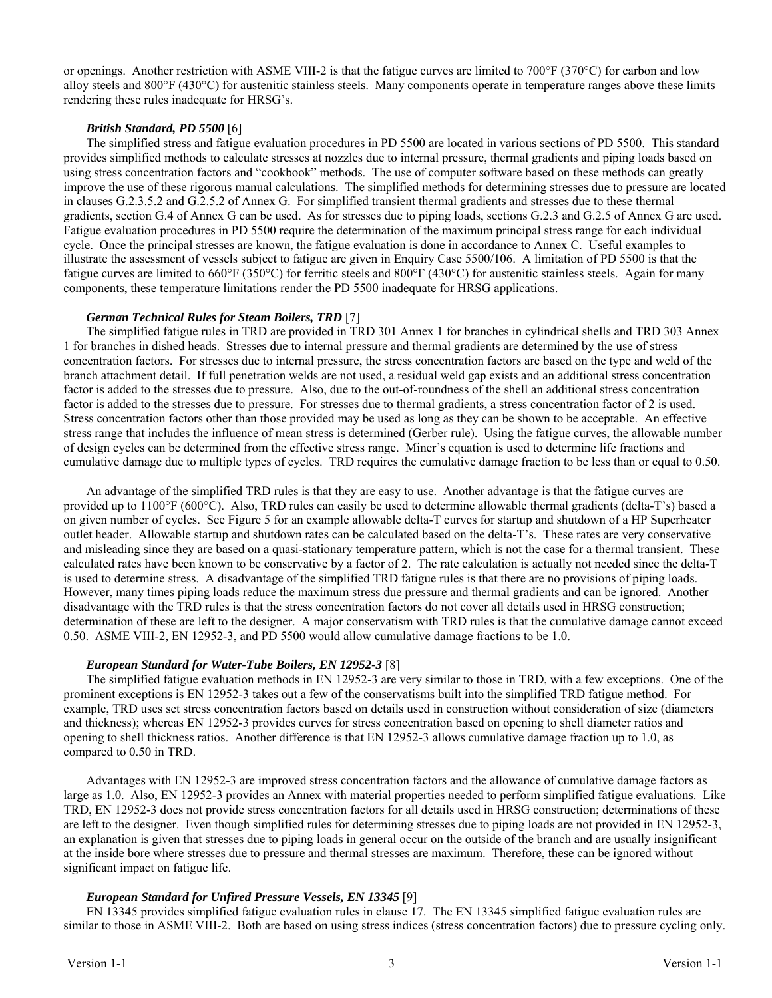or openings. Another restriction with ASME VIII-2 is that the fatigue curves are limited to 700°F (370°C) for carbon and low alloy steels and 800°F (430°C) for austenitic stainless steels. Many components operate in temperature ranges above these limits rendering these rules inadequate for HRSG's.

## *British Standard, PD 5500* [6]

The simplified stress and fatigue evaluation procedures in PD 5500 are located in various sections of PD 5500. This standard provides simplified methods to calculate stresses at nozzles due to internal pressure, thermal gradients and piping loads based on using stress concentration factors and "cookbook" methods. The use of computer software based on these methods can greatly improve the use of these rigorous manual calculations. The simplified methods for determining stresses due to pressure are located in clauses G.2.3.5.2 and G.2.5.2 of Annex G. For simplified transient thermal gradients and stresses due to these thermal gradients, section G.4 of Annex G can be used. As for stresses due to piping loads, sections G.2.3 and G.2.5 of Annex G are used. Fatigue evaluation procedures in PD 5500 require the determination of the maximum principal stress range for each individual cycle. Once the principal stresses are known, the fatigue evaluation is done in accordance to Annex C. Useful examples to illustrate the assessment of vessels subject to fatigue are given in Enquiry Case 5500/106. A limitation of PD 5500 is that the fatigue curves are limited to 660°F (350°C) for ferritic steels and 800°F (430°C) for austenitic stainless steels. Again for many components, these temperature limitations render the PD 5500 inadequate for HRSG applications.

### *German Technical Rules for Steam Boilers, TRD* [7]

The simplified fatigue rules in TRD are provided in TRD 301 Annex 1 for branches in cylindrical shells and TRD 303 Annex 1 for branches in dished heads. Stresses due to internal pressure and thermal gradients are determined by the use of stress concentration factors. For stresses due to internal pressure, the stress concentration factors are based on the type and weld of the branch attachment detail. If full penetration welds are not used, a residual weld gap exists and an additional stress concentration factor is added to the stresses due to pressure. Also, due to the out-of-roundness of the shell an additional stress concentration factor is added to the stresses due to pressure. For stresses due to thermal gradients, a stress concentration factor of 2 is used. Stress concentration factors other than those provided may be used as long as they can be shown to be acceptable. An effective stress range that includes the influence of mean stress is determined (Gerber rule). Using the fatigue curves, the allowable number of design cycles can be determined from the effective stress range. Miner's equation is used to determine life fractions and cumulative damage due to multiple types of cycles. TRD requires the cumulative damage fraction to be less than or equal to 0.50.

An advantage of the simplified TRD rules is that they are easy to use. Another advantage is that the fatigue curves are provided up to 1100°F (600°C). Also, TRD rules can easily be used to determine allowable thermal gradients (delta-T's) based a on given number of cycles. See Figure 5 for an example allowable delta-T curves for startup and shutdown of a HP Superheater outlet header. Allowable startup and shutdown rates can be calculated based on the delta-T's. These rates are very conservative and misleading since they are based on a quasi-stationary temperature pattern, which is not the case for a thermal transient. These calculated rates have been known to be conservative by a factor of 2. The rate calculation is actually not needed since the delta-T is used to determine stress. A disadvantage of the simplified TRD fatigue rules is that there are no provisions of piping loads. However, many times piping loads reduce the maximum stress due pressure and thermal gradients and can be ignored. Another disadvantage with the TRD rules is that the stress concentration factors do not cover all details used in HRSG construction; determination of these are left to the designer. A major conservatism with TRD rules is that the cumulative damage cannot exceed 0.50. ASME VIII-2, EN 12952-3, and PD 5500 would allow cumulative damage fractions to be 1.0.

### *European Standard for Water-Tube Boilers, EN 12952-3* [8]

The simplified fatigue evaluation methods in EN 12952-3 are very similar to those in TRD, with a few exceptions. One of the prominent exceptions is EN 12952-3 takes out a few of the conservatisms built into the simplified TRD fatigue method. For example, TRD uses set stress concentration factors based on details used in construction without consideration of size (diameters and thickness); whereas EN 12952-3 provides curves for stress concentration based on opening to shell diameter ratios and opening to shell thickness ratios. Another difference is that EN 12952-3 allows cumulative damage fraction up to 1.0, as compared to 0.50 in TRD.

Advantages with EN 12952-3 are improved stress concentration factors and the allowance of cumulative damage factors as large as 1.0. Also, EN 12952-3 provides an Annex with material properties needed to perform simplified fatigue evaluations. Like TRD, EN 12952-3 does not provide stress concentration factors for all details used in HRSG construction; determinations of these are left to the designer. Even though simplified rules for determining stresses due to piping loads are not provided in EN 12952-3, an explanation is given that stresses due to piping loads in general occur on the outside of the branch and are usually insignificant at the inside bore where stresses due to pressure and thermal stresses are maximum. Therefore, these can be ignored without significant impact on fatigue life.

# *European Standard for Unfired Pressure Vessels, EN 13345* [9]

EN 13345 provides simplified fatigue evaluation rules in clause 17. The EN 13345 simplified fatigue evaluation rules are similar to those in ASME VIII-2. Both are based on using stress indices (stress concentration factors) due to pressure cycling only.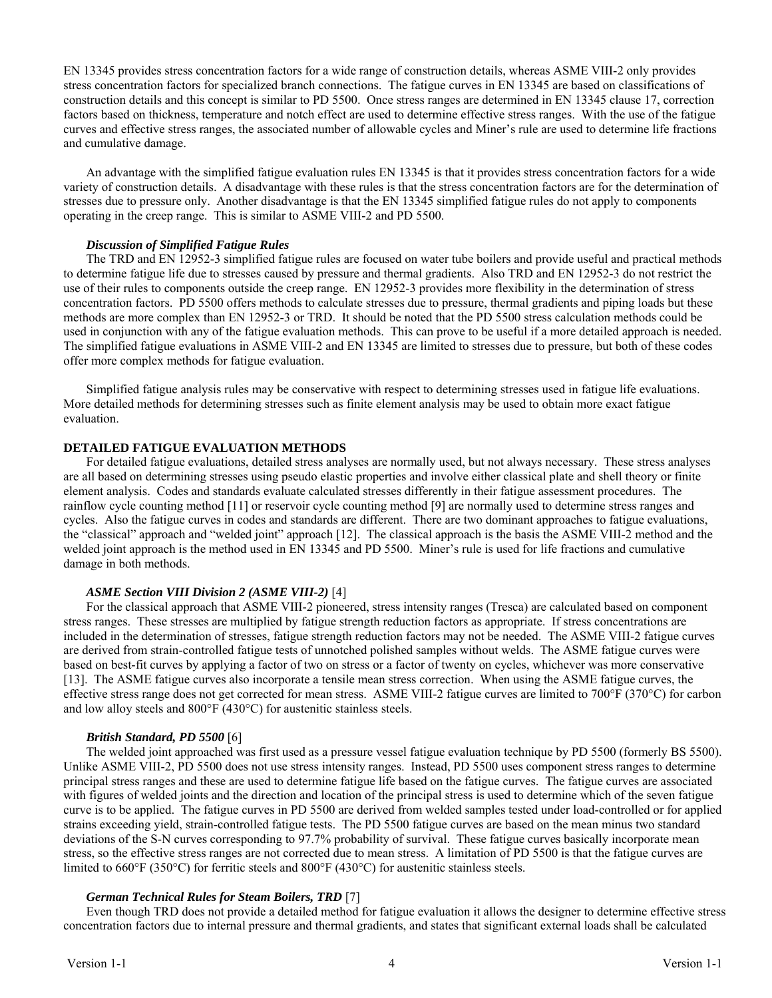EN 13345 provides stress concentration factors for a wide range of construction details, whereas ASME VIII-2 only provides stress concentration factors for specialized branch connections. The fatigue curves in EN 13345 are based on classifications of construction details and this concept is similar to PD 5500. Once stress ranges are determined in EN 13345 clause 17, correction factors based on thickness, temperature and notch effect are used to determine effective stress ranges. With the use of the fatigue curves and effective stress ranges, the associated number of allowable cycles and Miner's rule are used to determine life fractions and cumulative damage.

An advantage with the simplified fatigue evaluation rules EN 13345 is that it provides stress concentration factors for a wide variety of construction details. A disadvantage with these rules is that the stress concentration factors are for the determination of stresses due to pressure only. Another disadvantage is that the EN 13345 simplified fatigue rules do not apply to components operating in the creep range. This is similar to ASME VIII-2 and PD 5500.

# *Discussion of Simplified Fatigue Rules*

The TRD and EN 12952-3 simplified fatigue rules are focused on water tube boilers and provide useful and practical methods to determine fatigue life due to stresses caused by pressure and thermal gradients. Also TRD and EN 12952-3 do not restrict the use of their rules to components outside the creep range. EN 12952-3 provides more flexibility in the determination of stress concentration factors. PD 5500 offers methods to calculate stresses due to pressure, thermal gradients and piping loads but these methods are more complex than EN 12952-3 or TRD. It should be noted that the PD 5500 stress calculation methods could be used in conjunction with any of the fatigue evaluation methods. This can prove to be useful if a more detailed approach is needed. The simplified fatigue evaluations in ASME VIII-2 and EN 13345 are limited to stresses due to pressure, but both of these codes offer more complex methods for fatigue evaluation.

Simplified fatigue analysis rules may be conservative with respect to determining stresses used in fatigue life evaluations. More detailed methods for determining stresses such as finite element analysis may be used to obtain more exact fatigue evaluation.

# **DETAILED FATIGUE EVALUATION METHODS**

For detailed fatigue evaluations, detailed stress analyses are normally used, but not always necessary. These stress analyses are all based on determining stresses using pseudo elastic properties and involve either classical plate and shell theory or finite element analysis. Codes and standards evaluate calculated stresses differently in their fatigue assessment procedures. The rainflow cycle counting method [11] or reservoir cycle counting method [9] are normally used to determine stress ranges and cycles. Also the fatigue curves in codes and standards are different. There are two dominant approaches to fatigue evaluations, the "classical" approach and "welded joint" approach [12]. The classical approach is the basis the ASME VIII-2 method and the welded joint approach is the method used in EN 13345 and PD 5500. Miner's rule is used for life fractions and cumulative damage in both methods.

# *ASME Section VIII Division 2 (ASME VIII-2)* [4]

For the classical approach that ASME VIII-2 pioneered, stress intensity ranges (Tresca) are calculated based on component stress ranges. These stresses are multiplied by fatigue strength reduction factors as appropriate. If stress concentrations are included in the determination of stresses, fatigue strength reduction factors may not be needed. The ASME VIII-2 fatigue curves are derived from strain-controlled fatigue tests of unnotched polished samples without welds. The ASME fatigue curves were based on best-fit curves by applying a factor of two on stress or a factor of twenty on cycles, whichever was more conservative [13]. The ASME fatigue curves also incorporate a tensile mean stress correction. When using the ASME fatigue curves, the effective stress range does not get corrected for mean stress. ASME VIII-2 fatigue curves are limited to 700°F (370°C) for carbon and low alloy steels and 800°F (430°C) for austenitic stainless steels.

### *British Standard, PD 5500* [6]

The welded joint approached was first used as a pressure vessel fatigue evaluation technique by PD 5500 (formerly BS 5500). Unlike ASME VIII-2, PD 5500 does not use stress intensity ranges. Instead, PD 5500 uses component stress ranges to determine principal stress ranges and these are used to determine fatigue life based on the fatigue curves. The fatigue curves are associated with figures of welded joints and the direction and location of the principal stress is used to determine which of the seven fatigue curve is to be applied. The fatigue curves in PD 5500 are derived from welded samples tested under load-controlled or for applied strains exceeding yield, strain-controlled fatigue tests. The PD 5500 fatigue curves are based on the mean minus two standard deviations of the S-N curves corresponding to 97.7% probability of survival. These fatigue curves basically incorporate mean stress, so the effective stress ranges are not corrected due to mean stress. A limitation of PD 5500 is that the fatigue curves are limited to 660°F (350°C) for ferritic steels and 800°F (430°C) for austenitic stainless steels.

# *German Technical Rules for Steam Boilers, TRD* [7]

Even though TRD does not provide a detailed method for fatigue evaluation it allows the designer to determine effective stress concentration factors due to internal pressure and thermal gradients, and states that significant external loads shall be calculated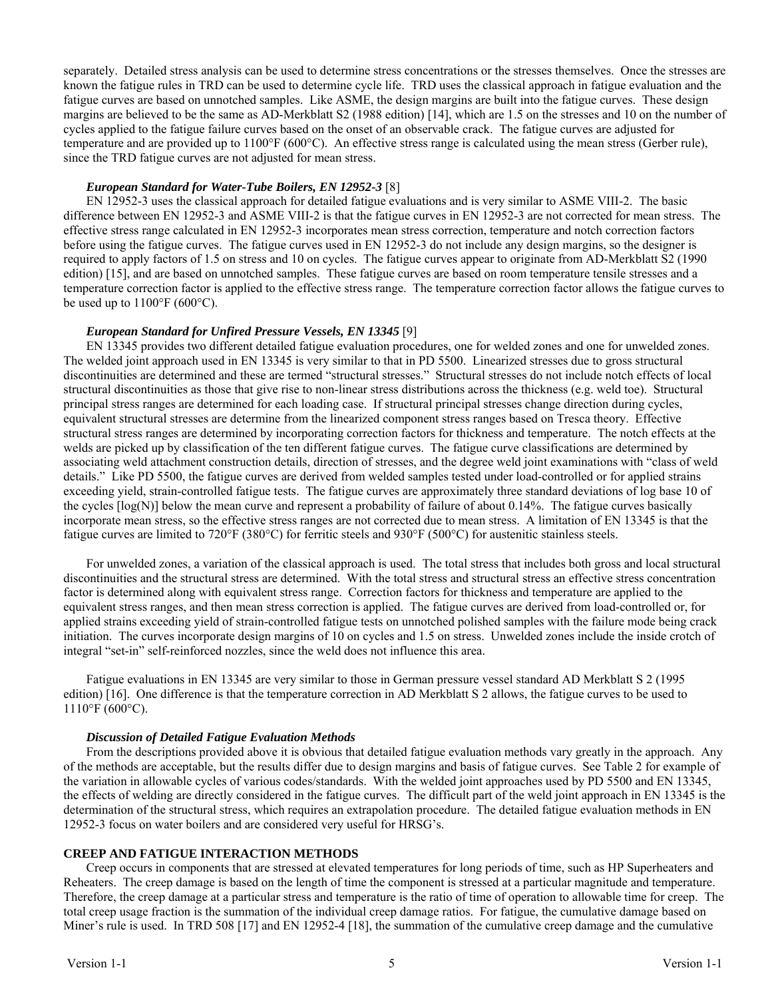separately. Detailed stress analysis can be used to determine stress concentrations or the stresses themselves. Once the stresses are known the fatigue rules in TRD can be used to determine cycle life. TRD uses the classical approach in fatigue evaluation and the fatigue curves are based on unnotched samples. Like ASME, the design margins are built into the fatigue curves. These design margins are believed to be the same as AD-Merkblatt S2 (1988 edition) [14], which are 1.5 on the stresses and 10 on the number of cycles applied to the fatigue failure curves based on the onset of an observable crack. The fatigue curves are adjusted for temperature and are provided up to 1100°F (600°C). An effective stress range is calculated using the mean stress (Gerber rule), since the TRD fatigue curves are not adjusted for mean stress.

## *European Standard for Water-Tube Boilers, EN 12952-3* [8]

EN 12952-3 uses the classical approach for detailed fatigue evaluations and is very similar to ASME VIII-2. The basic difference between EN 12952-3 and ASME VIII-2 is that the fatigue curves in EN 12952-3 are not corrected for mean stress. The effective stress range calculated in EN 12952-3 incorporates mean stress correction, temperature and notch correction factors before using the fatigue curves. The fatigue curves used in EN 12952-3 do not include any design margins, so the designer is required to apply factors of 1.5 on stress and 10 on cycles. The fatigue curves appear to originate from AD-Merkblatt S2 (1990 edition) [15], and are based on unnotched samples. These fatigue curves are based on room temperature tensile stresses and a temperature correction factor is applied to the effective stress range. The temperature correction factor allows the fatigue curves to be used up to  $1100^{\circ}F(600^{\circ}C)$ .

### *European Standard for Unfired Pressure Vessels, EN 13345* [9]

EN 13345 provides two different detailed fatigue evaluation procedures, one for welded zones and one for unwelded zones. The welded joint approach used in EN 13345 is very similar to that in PD 5500. Linearized stresses due to gross structural discontinuities are determined and these are termed "structural stresses." Structural stresses do not include notch effects of local structural discontinuities as those that give rise to non-linear stress distributions across the thickness (e.g. weld toe). Structural principal stress ranges are determined for each loading case. If structural principal stresses change direction during cycles, equivalent structural stresses are determine from the linearized component stress ranges based on Tresca theory. Effective structural stress ranges are determined by incorporating correction factors for thickness and temperature. The notch effects at the welds are picked up by classification of the ten different fatigue curves. The fatigue curve classifications are determined by associating weld attachment construction details, direction of stresses, and the degree weld joint examinations with "class of weld details." Like PD 5500, the fatigue curves are derived from welded samples tested under load-controlled or for applied strains exceeding yield, strain-controlled fatigue tests. The fatigue curves are approximately three standard deviations of log base 10 of the cycles [log(N)] below the mean curve and represent a probability of failure of about 0.14%. The fatigue curves basically incorporate mean stress, so the effective stress ranges are not corrected due to mean stress. A limitation of EN 13345 is that the fatigue curves are limited to 720°F (380°C) for ferritic steels and 930°F (500°C) for austenitic stainless steels.

For unwelded zones, a variation of the classical approach is used. The total stress that includes both gross and local structural discontinuities and the structural stress are determined. With the total stress and structural stress an effective stress concentration factor is determined along with equivalent stress range. Correction factors for thickness and temperature are applied to the equivalent stress ranges, and then mean stress correction is applied. The fatigue curves are derived from load-controlled or, for applied strains exceeding yield of strain-controlled fatigue tests on unnotched polished samples with the failure mode being crack initiation. The curves incorporate design margins of 10 on cycles and 1.5 on stress. Unwelded zones include the inside crotch of integral "set-in" self-reinforced nozzles, since the weld does not influence this area.

Fatigue evaluations in EN 13345 are very similar to those in German pressure vessel standard AD Merkblatt S 2 (1995 edition) [16]. One difference is that the temperature correction in AD Merkblatt S 2 allows, the fatigue curves to be used to 1110°F (600°C).

### *Discussion of Detailed Fatigue Evaluation Methods*

From the descriptions provided above it is obvious that detailed fatigue evaluation methods vary greatly in the approach. Any of the methods are acceptable, but the results differ due to design margins and basis of fatigue curves. See Table 2 for example of the variation in allowable cycles of various codes/standards. With the welded joint approaches used by PD 5500 and EN 13345, the effects of welding are directly considered in the fatigue curves. The difficult part of the weld joint approach in EN 13345 is the determination of the structural stress, which requires an extrapolation procedure. The detailed fatigue evaluation methods in EN 12952-3 focus on water boilers and are considered very useful for HRSG's.

### **CREEP AND FATIGUE INTERACTION METHODS**

Creep occurs in components that are stressed at elevated temperatures for long periods of time, such as HP Superheaters and Reheaters. The creep damage is based on the length of time the component is stressed at a particular magnitude and temperature. Therefore, the creep damage at a particular stress and temperature is the ratio of time of operation to allowable time for creep. The total creep usage fraction is the summation of the individual creep damage ratios. For fatigue, the cumulative damage based on Miner's rule is used. In TRD 508 [17] and EN 12952-4 [18], the summation of the cumulative creep damage and the cumulative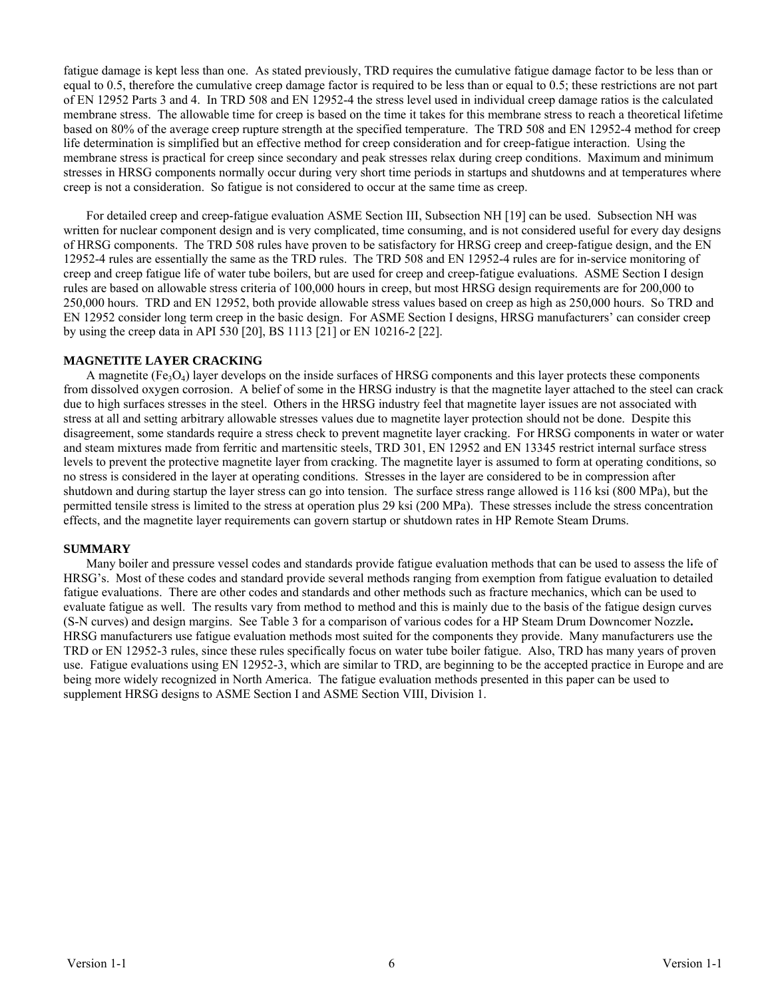fatigue damage is kept less than one. As stated previously, TRD requires the cumulative fatigue damage factor to be less than or equal to 0.5, therefore the cumulative creep damage factor is required to be less than or equal to 0.5; these restrictions are not part of EN 12952 Parts 3 and 4. In TRD 508 and EN 12952-4 the stress level used in individual creep damage ratios is the calculated membrane stress. The allowable time for creep is based on the time it takes for this membrane stress to reach a theoretical lifetime based on 80% of the average creep rupture strength at the specified temperature. The TRD 508 and EN 12952-4 method for creep life determination is simplified but an effective method for creep consideration and for creep-fatigue interaction. Using the membrane stress is practical for creep since secondary and peak stresses relax during creep conditions. Maximum and minimum stresses in HRSG components normally occur during very short time periods in startups and shutdowns and at temperatures where creep is not a consideration. So fatigue is not considered to occur at the same time as creep.

For detailed creep and creep-fatigue evaluation ASME Section III, Subsection NH [19] can be used. Subsection NH was written for nuclear component design and is very complicated, time consuming, and is not considered useful for every day designs of HRSG components. The TRD 508 rules have proven to be satisfactory for HRSG creep and creep-fatigue design, and the EN 12952-4 rules are essentially the same as the TRD rules. The TRD 508 and EN 12952-4 rules are for in-service monitoring of creep and creep fatigue life of water tube boilers, but are used for creep and creep-fatigue evaluations. ASME Section I design rules are based on allowable stress criteria of 100,000 hours in creep, but most HRSG design requirements are for 200,000 to 250,000 hours. TRD and EN 12952, both provide allowable stress values based on creep as high as 250,000 hours. So TRD and EN 12952 consider long term creep in the basic design. For ASME Section I designs, HRSG manufacturers' can consider creep by using the creep data in API 530 [20], BS 1113 [21] or EN 10216-2 [22].

### **MAGNETITE LAYER CRACKING**

A magnetite  $(Fe_3O_4)$  layer develops on the inside surfaces of HRSG components and this layer protects these components from dissolved oxygen corrosion. A belief of some in the HRSG industry is that the magnetite layer attached to the steel can crack due to high surfaces stresses in the steel. Others in the HRSG industry feel that magnetite layer issues are not associated with stress at all and setting arbitrary allowable stresses values due to magnetite layer protection should not be done. Despite this disagreement, some standards require a stress check to prevent magnetite layer cracking. For HRSG components in water or water and steam mixtures made from ferritic and martensitic steels, TRD 301, EN 12952 and EN 13345 restrict internal surface stress levels to prevent the protective magnetite layer from cracking. The magnetite layer is assumed to form at operating conditions, so no stress is considered in the layer at operating conditions. Stresses in the layer are considered to be in compression after shutdown and during startup the layer stress can go into tension. The surface stress range allowed is 116 ksi (800 MPa), but the permitted tensile stress is limited to the stress at operation plus 29 ksi (200 MPa). These stresses include the stress concentration effects, and the magnetite layer requirements can govern startup or shutdown rates in HP Remote Steam Drums.

### **SUMMARY**

Many boiler and pressure vessel codes and standards provide fatigue evaluation methods that can be used to assess the life of HRSG's. Most of these codes and standard provide several methods ranging from exemption from fatigue evaluation to detailed fatigue evaluations. There are other codes and standards and other methods such as fracture mechanics, which can be used to evaluate fatigue as well. The results vary from method to method and this is mainly due to the basis of the fatigue design curves (S-N curves) and design margins. See Table 3 for a comparison of various codes for a HP Steam Drum Downcomer Nozzle**.**  HRSG manufacturers use fatigue evaluation methods most suited for the components they provide. Many manufacturers use the TRD or EN 12952-3 rules, since these rules specifically focus on water tube boiler fatigue. Also, TRD has many years of proven use. Fatigue evaluations using EN 12952-3, which are similar to TRD, are beginning to be the accepted practice in Europe and are being more widely recognized in North America. The fatigue evaluation methods presented in this paper can be used to supplement HRSG designs to ASME Section I and ASME Section VIII, Division 1.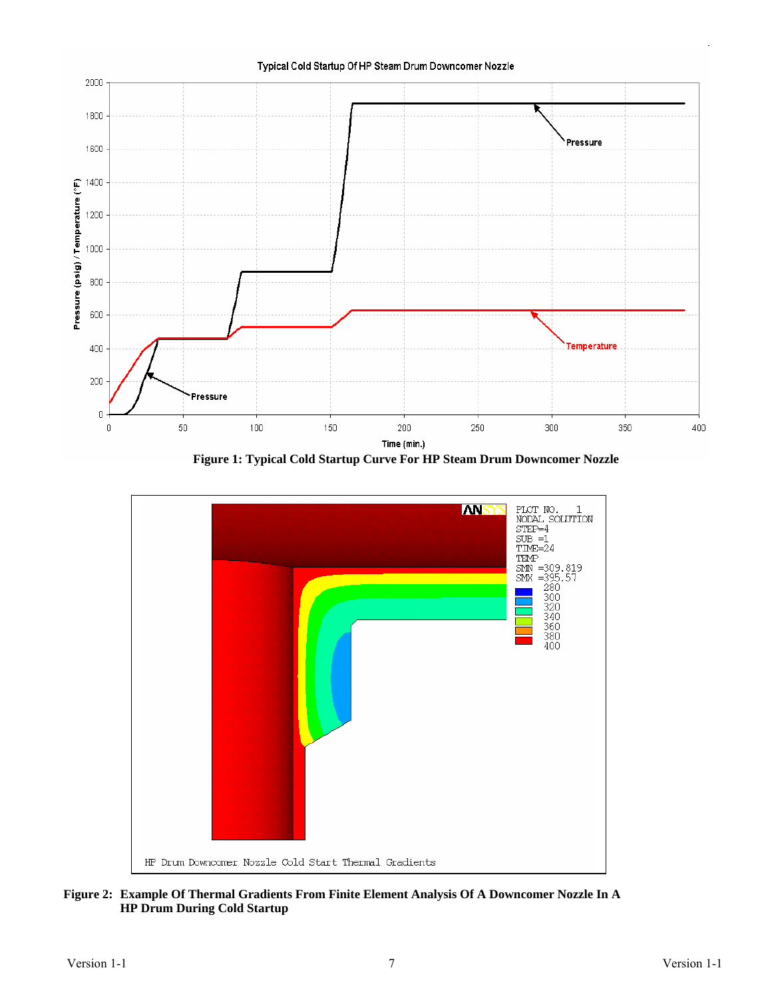

**Figure 1: Typical Cold Startup Curve For HP Steam Drum Downcomer Nozzle** 



**Figure 2: Example Of Thermal Gradients From Finite Element Analysis Of A Downcomer Nozzle In A HP Drum During Cold Startup**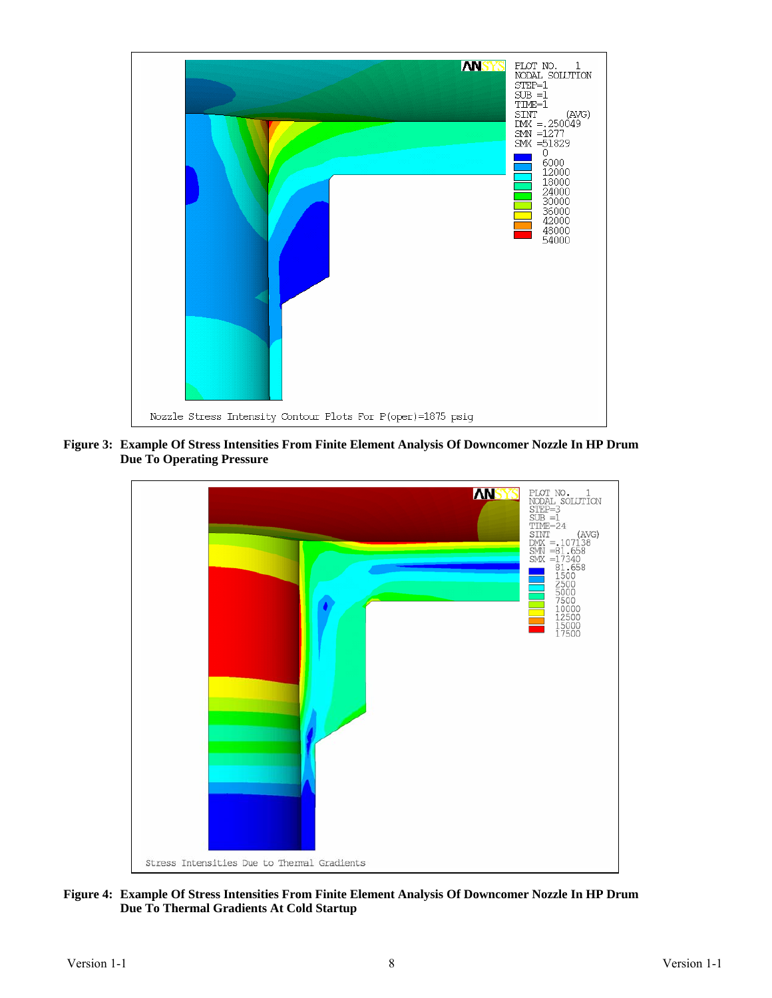

**Figure 3: Example Of Stress Intensities From Finite Element Analysis Of Downcomer Nozzle In HP Drum Due To Operating Pressure** 



**Figure 4: Example Of Stress Intensities From Finite Element Analysis Of Downcomer Nozzle In HP Drum Due To Thermal Gradients At Cold Startup**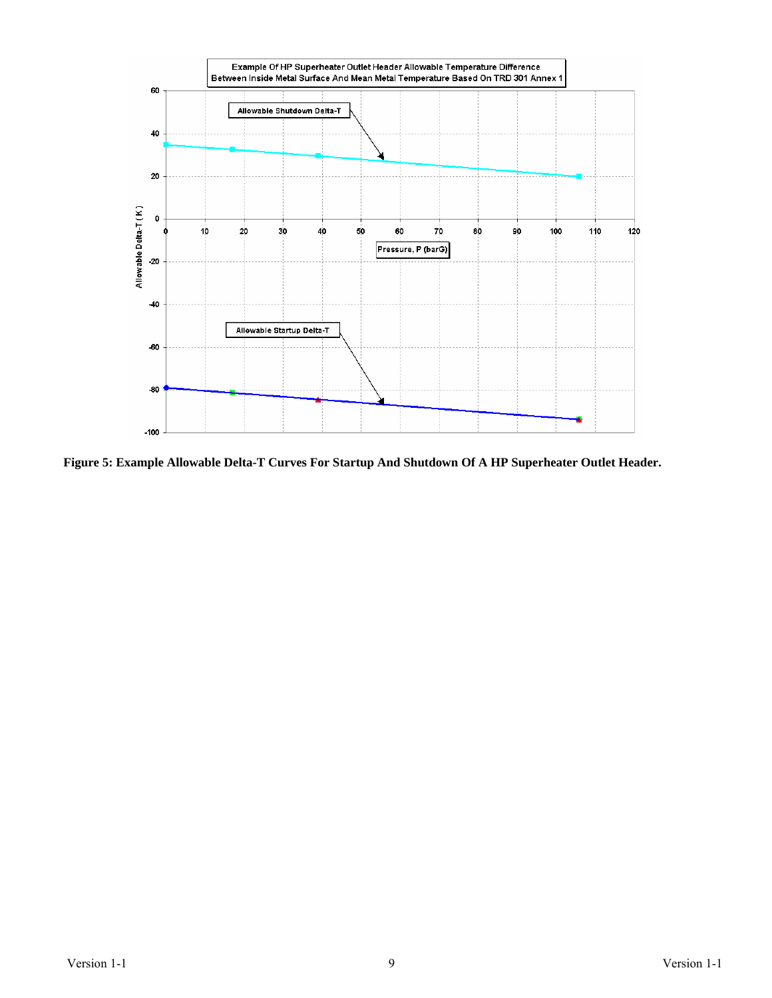

**Figure 5: Example Allowable Delta-T Curves For Startup And Shutdown Of A HP Superheater Outlet Header.**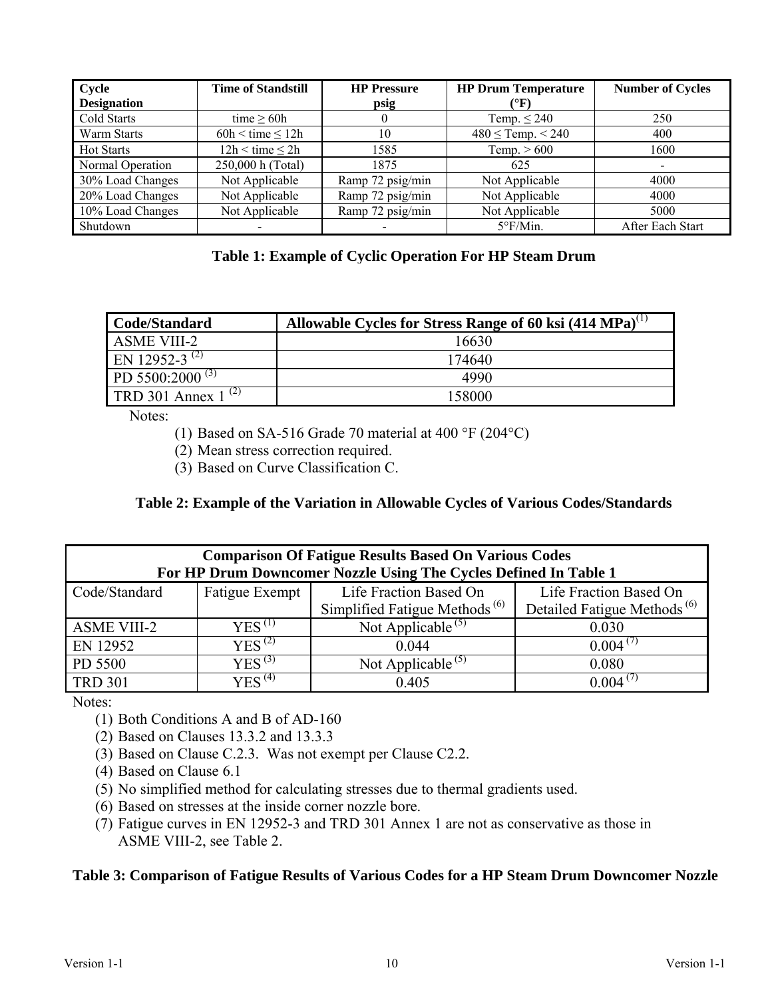| Cycle              | <b>Time of Standstill</b> | <b>HP Pressure</b> | <b>HP Drum Temperature</b> | <b>Number of Cycles</b> |
|--------------------|---------------------------|--------------------|----------------------------|-------------------------|
| <b>Designation</b> |                           | psig               | (°F)                       |                         |
| Cold Starts        | time $> 60h$              |                    | Temp. $\leq$ 240           | 250                     |
| Warm Starts        | $60h < time \leq 12h$     | 10                 | $480 \leq$ Temp. < 240     | 400                     |
| <b>Hot Starts</b>  | $12h \leq time \leq 2h$   | 1585               | Temp. $> 600$              | 1600                    |
| Normal Operation   | 250,000 h (Total)         | 1875               | 625                        |                         |
| 30% Load Changes   | Not Applicable            | Ramp 72 psig/min   | Not Applicable             | 4000                    |
| 20% Load Changes   | Not Applicable            | Ramp 72 psig/min   | Not Applicable             | 4000                    |
| 10% Load Changes   | Not Applicable            | Ramp 72 psig/min   | Not Applicable             | 5000                    |
| Shutdown           |                           |                    | $5^{\circ}$ F/Min.         | After Each Start        |

# **Table 1: Example of Cyclic Operation For HP Steam Drum**

| Code/Standard                  | Allowable Cycles for Stress Range of 60 ksi $(414 MPa)^{(1)}$ |
|--------------------------------|---------------------------------------------------------------|
| <b>ASME VIII-2</b>             | 16630                                                         |
| EN 12952-3 <sup>(2)</sup>      | 174640                                                        |
| PD 5500:2000 <sup>(3)</sup>    | 4990                                                          |
| <b>TRD</b> 301 Annex $1^{(2)}$ | 158000                                                        |

Notes:

(1) Based on SA-516 Grade 70 material at 400 °F (204°C)

(2) Mean stress correction required.

(3) Based on Curve Classification C.

# **Table 2: Example of the Variation in Allowable Cycles of Various Codes/Standards**

| <b>Comparison Of Fatigue Results Based On Various Codes</b><br>For HP Drum Downcomer Nozzle Using The Cycles Defined In Table 1 |                       |                                           |                                         |  |  |
|---------------------------------------------------------------------------------------------------------------------------------|-----------------------|-------------------------------------------|-----------------------------------------|--|--|
| Code/Standard                                                                                                                   | <b>Fatigue Exempt</b> | Life Fraction Based On                    | Life Fraction Based On                  |  |  |
|                                                                                                                                 |                       | Simplified Fatigue Methods <sup>(6)</sup> | Detailed Fatigue Methods <sup>(6)</sup> |  |  |
| <b>ASME VIII-2</b>                                                                                                              | $YES^{(1)}$           | Not Applicable <sup>(5)</sup>             | 0.030                                   |  |  |
| EN 12952                                                                                                                        | YES <sup>(2)</sup>    | 0.044                                     | $0.004^{(7)}$                           |  |  |
| PD 5500                                                                                                                         | $YES^{(3)}$           | Not Applicable <sup>(5)</sup>             | 0.080                                   |  |  |
| <b>TRD 301</b>                                                                                                                  | $YES^{(4)}$           | 0.405                                     | 0.004                                   |  |  |

Notes:

- (1) Both Conditions A and B of AD-160
- (2) Based on Clauses 13.3.2 and 13.3.3
- (3) Based on Clause C.2.3. Was not exempt per Clause C2.2.
- (4) Based on Clause 6.1
- (5) No simplified method for calculating stresses due to thermal gradients used.
- (6) Based on stresses at the inside corner nozzle bore.
- (7) Fatigue curves in EN 12952-3 and TRD 301 Annex 1 are not as conservative as those in ASME VIII-2, see Table 2.

# **Table 3: Comparison of Fatigue Results of Various Codes for a HP Steam Drum Downcomer Nozzle**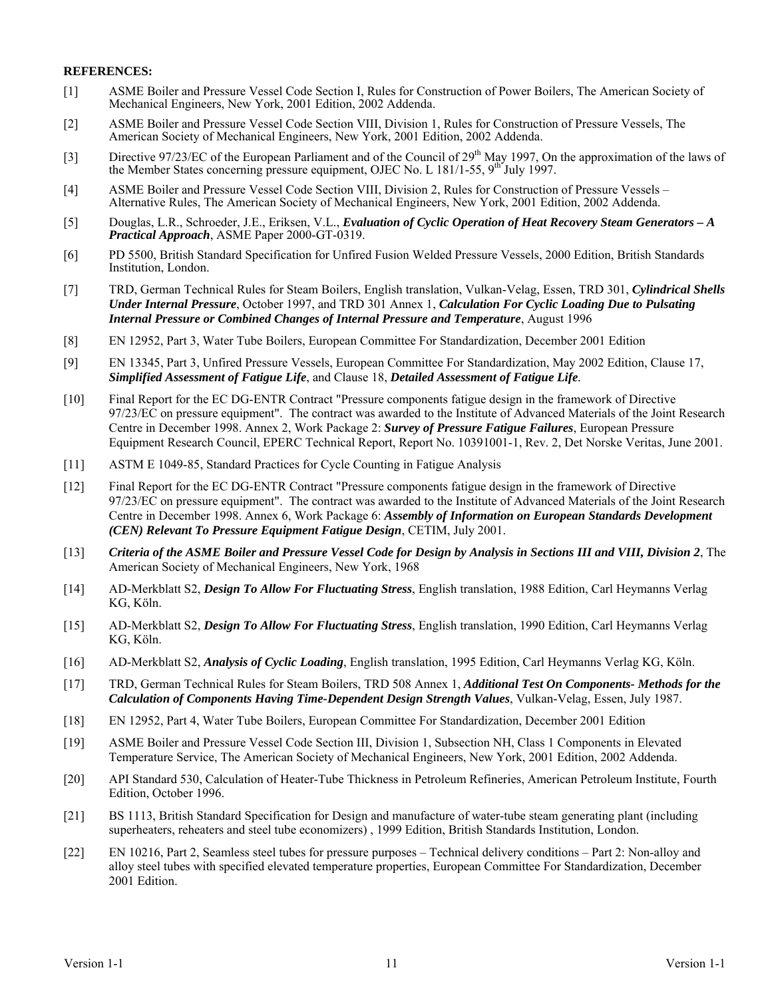### **REFERENCES:**

- [1] ASME Boiler and Pressure Vessel Code Section I, Rules for Construction of Power Boilers, The American Society of Mechanical Engineers, New York, 2001 Edition, 2002 Addenda.
- [2] ASME Boiler and Pressure Vessel Code Section VIII, Division 1, Rules for Construction of Pressure Vessels, The American Society of Mechanical Engineers, New York, 2001 Edition, 2002 Addenda.
- [3] Directive 97/23/EC of the European Parliament and of the Council of 29<sup>th</sup> May 1997, On the approximation of the laws of the Member States concerning pressure equipment, OJEC No. L 181/1-55, 9<sup>th</sup> July 1997.
- [4] ASME Boiler and Pressure Vessel Code Section VIII, Division 2, Rules for Construction of Pressure Vessels Alternative Rules, The American Society of Mechanical Engineers, New York, 2001 Edition, 2002 Addenda.
- [5] Douglas, L.R., Schroeder, J.E., Eriksen, V.L., *Evaluation of Cyclic Operation of Heat Recovery Steam Generators A Practical Approach*, ASME Paper 2000-GT-0319.
- [6] PD 5500, British Standard Specification for Unfired Fusion Welded Pressure Vessels, 2000 Edition, British Standards Institution, London.
- [7] TRD, German Technical Rules for Steam Boilers, English translation, Vulkan-Velag, Essen, TRD 301, *Cylindrical Shells Under Internal Pressure*, October 1997, and TRD 301 Annex 1, *Calculation For Cyclic Loading Due to Pulsating Internal Pressure or Combined Changes of Internal Pressure and Temperature*, August 1996
- [8] EN 12952, Part 3, Water Tube Boilers, European Committee For Standardization, December 2001 Edition
- [9] EN 13345, Part 3, Unfired Pressure Vessels, European Committee For Standardization, May 2002 Edition, Clause 17, *Simplified Assessment of Fatigue Life*, and Clause 18, *Detailed Assessment of Fatigue Life.*
- [10] Final Report for the EC DG-ENTR Contract "Pressure components fatigue design in the framework of Directive 97/23/EC on pressure equipment". The contract was awarded to the Institute of Advanced Materials of the Joint Research Centre in December 1998. Annex 2, Work Package 2: *Survey of Pressure Fatigue Failures*, European Pressure Equipment Research Council, EPERC Technical Report, Report No. 10391001-1, Rev. 2, Det Norske Veritas, June 2001.
- [11] ASTM E 1049-85, Standard Practices for Cycle Counting in Fatigue Analysis
- [12] Final Report for the EC DG-ENTR Contract "Pressure components fatigue design in the framework of Directive 97/23/EC on pressure equipment". The contract was awarded to the Institute of Advanced Materials of the Joint Research Centre in December 1998. Annex 6, Work Package 6: *Assembly of Information on European Standards Development (CEN) Relevant To Pressure Equipment Fatigue Design*, CETIM, July 2001.
- [13] *Criteria of the ASME Boiler and Pressure Vessel Code for Design by Analysis in Sections III and VIII, Division 2*, The American Society of Mechanical Engineers, New York, 1968
- [14] AD-Merkblatt S2, *Design To Allow For Fluctuating Stress*, English translation, 1988 Edition, Carl Heymanns Verlag KG, Köln.
- [15] AD-Merkblatt S2, *Design To Allow For Fluctuating Stress*, English translation, 1990 Edition, Carl Heymanns Verlag KG, Köln.
- [16] AD-Merkblatt S2, *Analysis of Cyclic Loading*, English translation, 1995 Edition, Carl Heymanns Verlag KG, Köln.
- [17] TRD, German Technical Rules for Steam Boilers, TRD 508 Annex 1, *Additional Test On Components- Methods for the Calculation of Components Having Time-Dependent Design Strength Values*, Vulkan-Velag, Essen, July 1987.
- [18] EN 12952, Part 4, Water Tube Boilers, European Committee For Standardization, December 2001 Edition
- [19] ASME Boiler and Pressure Vessel Code Section III, Division 1, Subsection NH, Class 1 Components in Elevated Temperature Service, The American Society of Mechanical Engineers, New York, 2001 Edition, 2002 Addenda.
- [20] API Standard 530, Calculation of Heater-Tube Thickness in Petroleum Refineries, American Petroleum Institute, Fourth Edition, October 1996.
- [21] BS 1113, British Standard Specification for Design and manufacture of water-tube steam generating plant (including superheaters, reheaters and steel tube economizers) , 1999 Edition, British Standards Institution, London.
- [22] EN 10216, Part 2, Seamless steel tubes for pressure purposes Technical delivery conditions Part 2: Non-alloy and alloy steel tubes with specified elevated temperature properties, European Committee For Standardization, December 2001 Edition.